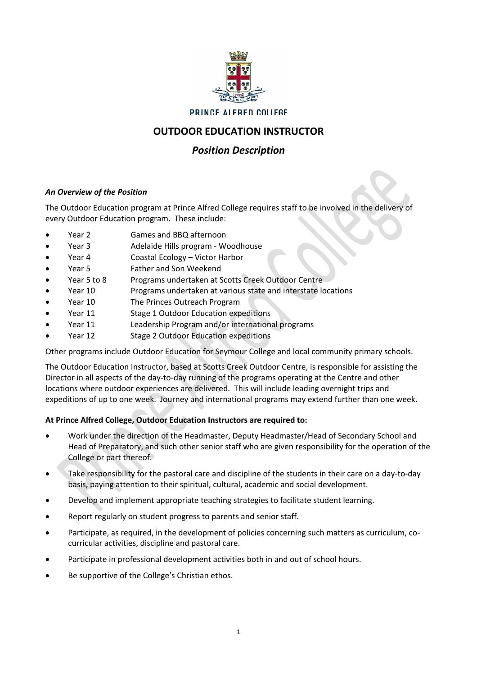

## **PRINCE ALFRED COLLEGE**

# **OUTDOOR EDUCATION INSTRUCTOR**

# *Position Description*

# *An Overview of the Position*

The Outdoor Education program at Prince Alfred College requires staff to be involved in the delivery of every Outdoor Education program. These include:

- Year 2 Games and BBQ afternoon
- Year 3 Adelaide Hills program Woodhouse
- Year 4 Coastal Ecology Victor Harbor
- Year 5 Father and Son Weekend
- Year 5 to 8 Programs undertaken at Scotts Creek Outdoor Centre
- Year 10 Programs undertaken at various state and interstate locations
- Year 10 The Princes Outreach Program
- Year 11 Stage 1 Outdoor Education expeditions
- Year 11 Leadership Program and/or international programs
- Year 12 Stage 2 Outdoor Education expeditions

Other programs include Outdoor Education for Seymour College and local community primary schools.

The Outdoor Education Instructor, based at Scotts Creek Outdoor Centre, is responsible for assisting the Director in all aspects of the day-to-day running of the programs operating at the Centre and other locations where outdoor experiences are delivered. This will include leading overnight trips and expeditions of up to one week. Journey and international programs may extend further than one week.

# **At Prince Alfred College, Outdoor Education Instructors are required to:**

- Work under the direction of the Headmaster, Deputy Headmaster/Head of Secondary School and Head of Preparatory, and such other senior staff who are given responsibility for the operation of the College or part thereof.
- Take responsibility for the pastoral care and discipline of the students in their care on a day-to-day basis, paying attention to their spiritual, cultural, academic and social development.
- Develop and implement appropriate teaching strategies to facilitate student learning.
- Report regularly on student progress to parents and senior staff.
- Participate, as required, in the development of policies concerning such matters as curriculum, cocurricular activities, discipline and pastoral care.
- Participate in professional development activities both in and out of school hours.
- Be supportive of the College's Christian ethos.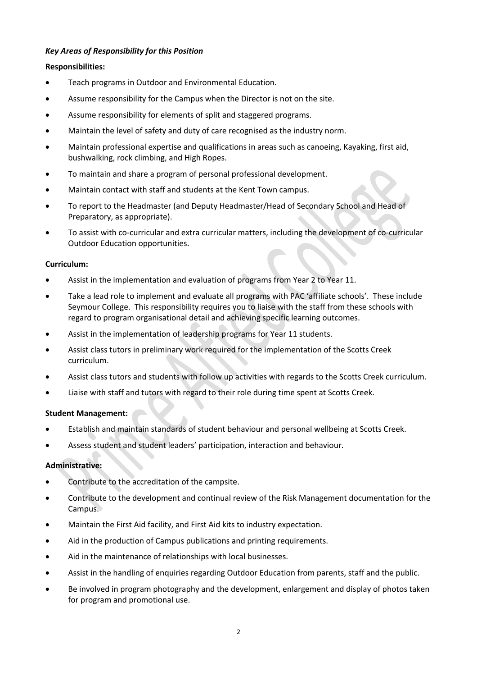## *Key Areas of Responsibility for this Position*

#### **Responsibilities:**

- Teach programs in Outdoor and Environmental Education.
- Assume responsibility for the Campus when the Director is not on the site.
- Assume responsibility for elements of split and staggered programs.
- Maintain the level of safety and duty of care recognised as the industry norm.
- Maintain professional expertise and qualifications in areas such as canoeing, Kayaking, first aid, bushwalking, rock climbing, and High Ropes.
- To maintain and share a program of personal professional development.
- Maintain contact with staff and students at the Kent Town campus.
- To report to the Headmaster (and Deputy Headmaster/Head of Secondary School and Head of Preparatory, as appropriate).
- To assist with co-curricular and extra curricular matters, including the development of co-curricular Outdoor Education opportunities.

#### **Curriculum:**

- Assist in the implementation and evaluation of programs from Year 2 to Year 11.
- Take a lead role to implement and evaluate all programs with PAC 'affiliate schools'. These include Seymour College. This responsibility requires you to liaise with the staff from these schools with regard to program organisational detail and achieving specific learning outcomes.
- Assist in the implementation of leadership programs for Year 11 students.
- Assist class tutors in preliminary work required for the implementation of the Scotts Creek curriculum.
- Assist class tutors and students with follow up activities with regards to the Scotts Creek curriculum.
- Liaise with staff and tutors with regard to their role during time spent at Scotts Creek.

#### **Student Management:**

- Establish and maintain standards of student behaviour and personal wellbeing at Scotts Creek.
- Assess student and student leaders' participation, interaction and behaviour.

#### **Administrative:**

- Contribute to the accreditation of the campsite.
- Contribute to the development and continual review of the Risk Management documentation for the Campus.
- Maintain the First Aid facility, and First Aid kits to industry expectation.
- Aid in the production of Campus publications and printing requirements.
- Aid in the maintenance of relationships with local businesses.
- Assist in the handling of enquiries regarding Outdoor Education from parents, staff and the public.
- Be involved in program photography and the development, enlargement and display of photos taken for program and promotional use.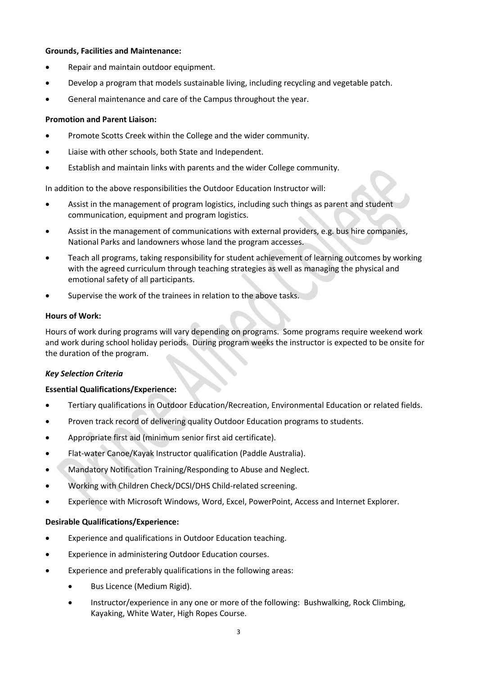#### **Grounds, Facilities and Maintenance:**

- Repair and maintain outdoor equipment.
- Develop a program that models sustainable living, including recycling and vegetable patch.
- General maintenance and care of the Campus throughout the year.

## **Promotion and Parent Liaison:**

- Promote Scotts Creek within the College and the wider community.
- Liaise with other schools, both State and Independent.
- Establish and maintain links with parents and the wider College community.

In addition to the above responsibilities the Outdoor Education Instructor will:

- Assist in the management of program logistics, including such things as parent and student communication, equipment and program logistics.
- Assist in the management of communications with external providers, e.g. bus hire companies, National Parks and landowners whose land the program accesses.
- Teach all programs, taking responsibility for student achievement of learning outcomes by working with the agreed curriculum through teaching strategies as well as managing the physical and emotional safety of all participants.
- Supervise the work of the trainees in relation to the above tasks.

## **Hours of Work:**

Hours of work during programs will vary depending on programs. Some programs require weekend work and work during school holiday periods. During program weeks the instructor is expected to be onsite for the duration of the program.

#### *Key Selection Criteria*

#### **Essential Qualifications/Experience:**

- Tertiary qualifications in Outdoor Education/Recreation, Environmental Education or related fields.
- Proven track record of delivering quality Outdoor Education programs to students.
- Appropriate first aid (minimum senior first aid certificate).
- Flat-water Canoe/Kayak Instructor qualification (Paddle Australia).
- Mandatory Notification Training/Responding to Abuse and Neglect.
- Working with Children Check/DCSI/DHS Child-related screening.
- Experience with Microsoft Windows, Word, Excel, PowerPoint, Access and Internet Explorer.

#### **Desirable Qualifications/Experience:**

- Experience and qualifications in Outdoor Education teaching.
- Experience in administering Outdoor Education courses.
- Experience and preferably qualifications in the following areas:
	- Bus Licence (Medium Rigid).
	- Instructor/experience in any one or more of the following: Bushwalking, Rock Climbing, Kayaking, White Water, High Ropes Course.